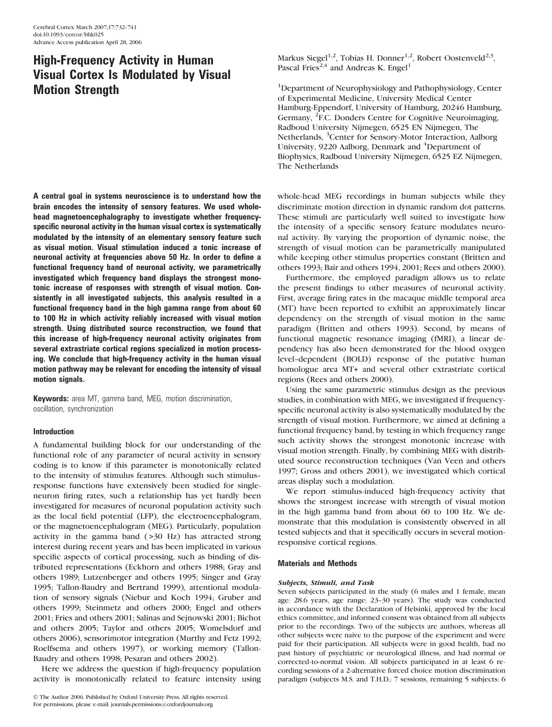# High-Frequency Activity in Human Visual Cortex Is Modulated by Visual Motion Strength

A central goal in systems neuroscience is to understand how the brain encodes the intensity of sensory features. We used wholehead magnetoencephalography to investigate whether frequencyspecific neuronal activity in the human visual cortex is systematically modulated by the intensity of an elementary sensory feature such as visual motion. Visual stimulation induced a tonic increase of neuronal activity at frequencies above 50 Hz. In order to define a functional frequency band of neuronal activity, we parametrically investigated which frequency band displays the strongest monotonic increase of responses with strength of visual motion. Consistently in all investigated subjects, this analysis resulted in a functional frequency band in the high gamma range from about 60 to 100 Hz in which activity reliably increased with visual motion strength. Using distributed source reconstruction, we found that this increase of high-frequency neuronal activity originates from several extrastriate cortical regions specialized in motion processing. We conclude that high-frequency activity in the human visual motion pathway may be relevant for encoding the intensity of visual motion signals.

Keywords: area MT, gamma band, MEG, motion discrimination, oscillation, synchronization

# Introduction

A fundamental building block for our understanding of the functional role of any parameter of neural activity in sensory coding is to know if this parameter is monotonically related to the intensity of stimulus features. Although such stimulus- response functions have extensively been studied for singleneuron firing rates, such a relationship has yet hardly been investigated for measures of neuronal population activity such as the local field potential (LFP), the electroencephalogram, or the magnetoencephalogram (MEG). Particularly, population activity in the gamma band  $( >30$  Hz) has attracted strong interest during recent years and has been implicated in various specific aspects of cortical processing, such as binding of distributed representations (Eckhorn and others 1988; Gray and others 1989; Lutzenberger and others 1995; Singer and Gray 1995; Tallon-Baudry and Bertrand 1999), attentional modulation of sensory signals (Niebur and Koch 1994; Gruber and others 1999; Steinmetz and others 2000; Engel and others 2001; Fries and others 2001; Salinas and Sejnowski 2001; Bichot and others 2005; Taylor and others 2005; Womelsdorf and others 2006), sensorimotor integration (Murthy and Fetz 1992; Roelfsema and others 1997), or working memory (Tallon-Baudry and others 1998; Pesaran and others 2002).

Here we address the question if high-frequency population activity is monotonically related to feature intensity using Markus Siegel<sup>1,2</sup>, Tobias H. Donner<sup>1,2</sup>, Robert Oostenveld<sup>2,3</sup>, Pascal Fries<sup>2,4</sup> and Andreas K. Engel<sup>1</sup>

<sup>1</sup>Department of Neurophysiology and Pathophysiology, Center of Experimental Medicine, University Medical Center Hamburg-Eppendorf, University of Hamburg, 20246 Hamburg, Germany, <sup>2</sup>F.C. Donders Centre for Cognitive Neuroimaging, Radboud University Nijmegen, 6525 EN Nijmegen, The Netherlands, <sup>3</sup>Center for Sensory-Motor Interaction, Aalborg University, 9220 Aalborg, Denmark and <sup>4</sup>Department of Biophysics, Radboud University Nijmegen, 6525 EZ Nijmegen, The Netherlands

whole-head MEG recordings in human subjects while they discriminate motion direction in dynamic random dot patterns. These stimuli are particularly well suited to investigate how the intensity of a specific sensory feature modulates neuronal activity. By varying the proportion of dynamic noise, the strength of visual motion can be parametrically manipulated while keeping other stimulus properties constant (Britten and others 1993; Bair and others 1994, 2001; Rees and others 2000).

Furthermore, the employed paradigm allows us to relate the present findings to other measures of neuronal activity. First, average firing rates in the macaque middle temporal area (MT) have been reported to exhibit an approximately linear dependency on the strength of visual motion in the same paradigm (Britten and others 1993). Second, by means of functional magnetic resonance imaging (fMRI), a linear dependency has also been demonstrated for the blood oxygen level--dependent (BOLD) response of the putative human homologue area MT+ and several other extrastriate cortical regions (Rees and others 2000).

Using the same parametric stimulus design as the previous studies, in combination with MEG, we investigated if frequencyspecific neuronal activity is also systematically modulated by the strength of visual motion. Furthermore, we aimed at defining a functional frequency band, by testing in which frequency range such activity shows the strongest monotonic increase with visual motion strength. Finally, by combining MEG with distributed source reconstruction techniques (Van Veen and others 1997; Gross and others 2001), we investigated which cortical areas display such a modulation.

We report stimulus-induced high-frequency activity that shows the strongest increase with strength of visual motion in the high gamma band from about 60 to 100 Hz. We demonstrate that this modulation is consistently observed in all tested subjects and that it specifically occurs in several motionresponsive cortical regions.

## Materials and Methods

## Subjects, Stimuli, and Task

Seven subjects participated in the study (6 males and 1 female, mean age: 28.6 years, age range: 23-30 years). The study was conducted in accordance with the Declaration of Helsinki, approved by the local ethics committee, and informed consent was obtained from all subjects prior to the recordings. Two of the subjects are authors, whereas all other subjects were naive to the purpose of the experiment and were paid for their participation. All subjects were in good health, had no past history of psychiatric or neurological illness, and had normal or corrected-to-normal vision. All subjects participated in at least 6 recording sessions of a 2-alternative forced choice motion discrimination paradigm (subjects M.S. and T.H.D.: 7 sessions, remaining 5 subjects: 6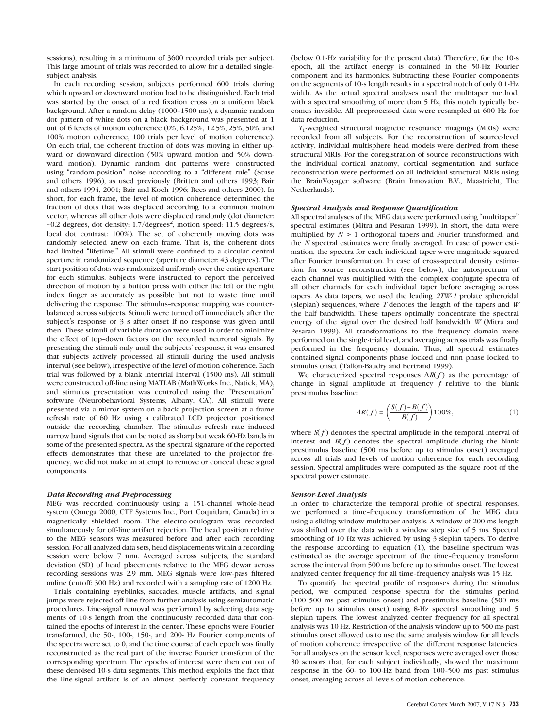sessions), resulting in a minimum of 3600 recorded trials per subject. This large amount of trials was recorded to allow for a detailed singlesubject analysis.

In each recording session, subjects performed 600 trials during which upward or downward motion had to be distinguished. Each trial was started by the onset of a red fixation cross on a uniform black background. After a random delay (1000-1500 ms), a dynamic random dot pattern of white dots on a black background was presented at 1 out of 6 levels of motion coherence (0%, 6.125%, 12.5%, 25%, 50%, and 100% motion coherence, 100 trials per level of motion coherence). On each trial, the coherent fraction of dots was moving in either upward or downward direction (50% upward motion and 50% downward motion). Dynamic random dot patterns were constructed using "random-position" noise according to a "different rule" (Scase and others 1996), as used previously (Britten and others 1993; Bair and others 1994, 2001; Bair and Koch 1996; Rees and others 2000). In short, for each frame, the level of motion coherence determined the fraction of dots that was displaced according to a common motion vector, whereas all other dots were displaced randomly (dot diameter:  $\sim$ 0.2 degrees, dot density: 1.7/degrees<sup>2</sup>, motion speed: 11.5 degrees/s, local dot contrast: 100%). The set of coherently moving dots was randomly selected anew on each frame. That is, the coherent dots had limited "lifetime." All stimuli were confined to a circular central aperture in randomized sequence (aperture diameter: 43 degrees). The start position of dots was randomized uniformly over the entire aperture for each stimulus. Subjects were instructed to report the perceived direction of motion by a button press with either the left or the right index finger as accurately as possible but not to waste time until delivering the response. The stimulus--response mapping was counterbalanced across subjects. Stimuli were turned off immediately after the subject's response or 3 s after onset if no response was given until then. These stimuli of variable duration were used in order to minimize the effect of top-down factors on the recorded neuronal signals. By presenting the stimuli only until the subjects' response, it was ensured that subjects actively processed all stimuli during the used analysis interval (see below), irrespective of the level of motion coherence. Each trial was followed by a blank intertrial interval (1500 ms). All stimuli were constructed off-line using MATLAB (MathWorks Inc., Natick, MA), and stimulus presentation was controlled using the ''Presentation'' software (Neurobehavioral Systems, Albany, CA). All stimuli were presented via a mirror system on a back projection screen at a frame refresh rate of 60 Hz using a calibrated LCD projector positioned outside the recording chamber. The stimulus refresh rate induced narrow band signals that can be noted as sharp but weak 60-Hz bands in some of the presented spectra. As the spectral signature of the reported effects demonstrates that these are unrelated to the projector frequency, we did not make an attempt to remove or conceal these signal components.

## Data Recording and Preprocessing

MEG was recorded continuously using a 151-channel whole-head system (Omega 2000, CTF Systems Inc., Port Coquitlam, Canada) in a magnetically shielded room. The electro-oculogram was recorded simultaneously for off-line artifact rejection. The head position relative to the MEG sensors was measured before and after each recording session. For all analyzed data sets, head displacements within a recording session were below 7 mm. Averaged across subjects, the standard deviation (SD) of head placements relative to the MEG dewar across recording sessions was 2.9 mm. MEG signals were low-pass filtered online (cutoff: 300 Hz) and recorded with a sampling rate of 1200 Hz.

Trials containing eyeblinks, saccades, muscle artifacts, and signal jumps were rejected off-line from further analysis using semiautomatic procedures. Line-signal removal was performed by selecting data segments of 10-s length from the continuously recorded data that contained the epochs of interest in the center. These epochs were Fourier transformed, the 50-, 100-, 150-, and 200- Hz Fourier components of the spectra were set to 0, and the time course of each epoch was finally reconstructed as the real part of the inverse Fourier transform of the corresponding spectrum. The epochs of interest were then cut out of these denoised 10-s data segments. This method exploits the fact that the line-signal artifact is of an almost perfectly constant frequency

(below 0.1-Hz variability for the present data). Therefore, for the 10-s epoch, all the artifact energy is contained in the 50-Hz Fourier component and its harmonics. Subtracting these Fourier components on the segments of 10-s length results in a spectral notch of only 0.1-Hz width. As the actual spectral analyses used the multitaper method, with a spectral smoothing of more than 5 Hz, this notch typically becomes invisible. All preprocessed data were resampled at 600 Hz for data reduction.

 $T_1$ -weighted structural magnetic resonance imagings (MRIs) were recorded from all subjects. For the reconstruction of source-level activity, individual multisphere head models were derived from these structural MRIs. For the coregistration of source reconstructions with the individual cortical anatomy, cortical segmentation and surface reconstruction were performed on all individual structural MRIs using the BrainVoyager software (Brain Innovation B.V., Maastricht, The Netherlands).

#### Spectral Analysis and Response Quantification

All spectral analyses of the MEG data were performed using ''multitaper'' spectral estimates (Mitra and Pesaran 1999). In short, the data were multiplied by  $N > 1$  orthogonal tapers and Fourier transformed, and the N spectral estimates were finally averaged. In case of power estimation, the spectra for each individual taper were magnitude squared after Fourier transformation. In case of cross-spectral density estimation for source reconstruction (see below), the autospectrum of each channel was multiplied with the complex conjugate spectra of all other channels for each individual taper before averaging across tapers. As data tapers, we used the leading 2TW-1 prolate spheroidal (slepian) sequences, where  $T$  denotes the length of the tapers and  $W$ the half bandwidth. These tapers optimally concentrate the spectral energy of the signal over the desired half bandwidth W (Mitra and Pesaran 1999). All transformations to the frequency domain were performed on the single-trial level, and averaging across trials was finally performed in the frequency domain. Thus, all spectral estimates contained signal components phase locked and non phase locked to stimulus onset (Tallon-Baudry and Bertrand 1999).

We characterized spectral responses  $\Delta R(f)$  as the percentage of change in signal amplitude at frequency  $f$  relative to the blank prestimulus baseline:

$$
\Delta R(f) = \left(\frac{S(f) - B(f)}{B(f)}\right) 100\%,\tag{1}
$$

where  $S(f)$  denotes the spectral amplitude in the temporal interval of interest and  $B(f)$  denotes the spectral amplitude during the blank prestimulus baseline (500 ms before up to stimulus onset) averaged across all trials and levels of motion coherence for each recording session. Spectral amplitudes were computed as the square root of the spectral power estimate.

#### Sensor-Level Analysis

In order to characterize the temporal profile of spectral responses, we performed a time-frequency transformation of the MEG data using a sliding window multitaper analysis. A window of 200-ms length was shifted over the data with a window step size of 5 ms. Spectral smoothing of 10 Hz was achieved by using 3 slepian tapers. To derive the response according to equation (1), the baseline spectrum was estimated as the average spectrum of the time-frequency transform across the interval from 500 ms before up to stimulus onset. The lowest analyzed center frequency for all time-frequency analysis was 15 Hz.

To quantify the spectral profile of responses during the stimulus period, we computed response spectra for the stimulus period  $(100-500 \text{ ms past stimulus onset})$  and prestimulus baseline  $(500 \text{ ms})$ before up to stimulus onset) using 8-Hz spectral smoothing and 5 slepian tapers. The lowest analyzed center frequency for all spectral analysis was 10 Hz. Restriction of the analysis window up to 500 ms past stimulus onset allowed us to use the same analysis window for all levels of motion coherence irrespective of the different response latencies. For all analyses on the sensor level, responses were averaged over those 30 sensors that, for each subject individually, showed the maximum response in the 60- to 100-Hz band from 100-500 ms past stimulus onset, averaging across all levels of motion coherence.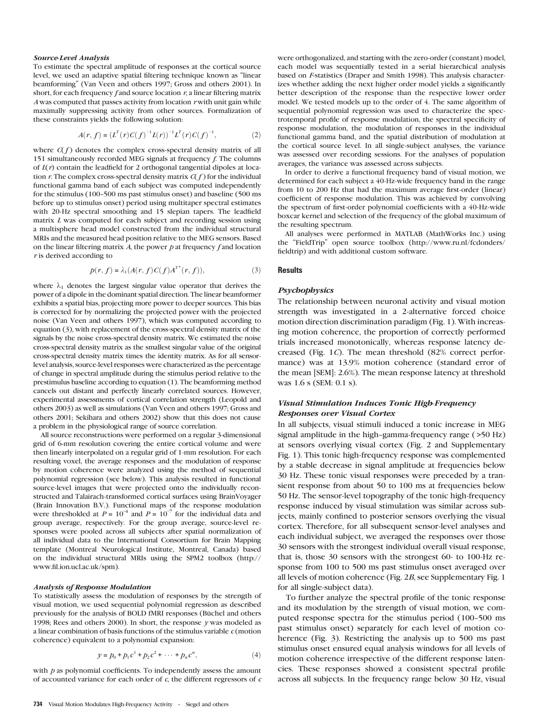#### Source-Level Analysis

To estimate the spectral amplitude of responses at the cortical source level, we used an adaptive spatial filtering technique known as ''linear beamforming'' (Van Veen and others 1997; Gross and others 2001). In short, for each frequency  $f$  and source location  $r$ , a linear filtering matrix  $A$  was computed that passes activity from location  $r$  with unit gain while maximally suppressing activity from other sources. Formalization of these constraints yields the following solution:

$$
A(r, f) = (L^T(r)C(f)^{-1}L(r))^{-1}L^T(r)C(f)^{-1},
$$
\n(2)

where  $C(f)$  denotes the complex cross-spectral density matrix of all 151 simultaneously recorded MEG signals at frequency f. The columns of  $L(r)$  contain the leadfield for 2 orthogonal tangential dipoles at location r. The complex cross-spectral density matrix  $C(f)$  for the individual functional gamma band of each subject was computed independently for the stimulus (100-500 ms past stimulus onset) and baseline (500 ms before up to stimulus onset) period using multitaper spectral estimates with 20-Hz spectral smoothing and 15 slepian tapers. The leadfield matrix L was computed for each subject and recording session using a multisphere head model constructed from the individual structural MRIs and the measured head position relative to the MEG sensors. Based on the linear filtering matrix  $A$ , the power  $p$  at frequency  $f$  and location r is derived according to

$$
p(r, f) = \lambda_1(A(r, f)C(f)A^{T^*}(r, f)),
$$
\n(3)

where  $\lambda_1$  denotes the largest singular value operator that derives the power of a dipole in the dominant spatial direction. The linear beamformer exhibits a spatial bias, projecting more power to deeper sources. This bias is corrected for by normalizing the projected power with the projected noise (Van Veen and others 1997), which was computed according to equation (3), with replacement of the cross-spectral density matrix of the signals by the noise cross-spectral density matrix. We estimated the noise cross-spectral density matrix as the smallest singular value of the original cross-spectral density matrix times the identity matrix. As for all sensorlevel analysis, source-level responses were characterized as the percentage of change in spectral amplitude during the stimulus period relative to the prestimulus baseline according to equation (1). The beamforming method cancels out distant and perfectly linearly correlated sources. However, experimental assessments of cortical correlation strength (Leopold and others 2003) as well as simulations (Van Veen and others 1997; Gross and others 2001; Sekihara and others 2002) show that this does not cause a problem in the physiological range of source correlation.

All source reconstructions were performed on a regular 3-dimensional grid of 6-mm resolution covering the entire cortical volume and were then linearly interpolated on a regular grid of 1-mm resolution. For each resulting voxel, the average responses and the modulation of response by motion coherence were analyzed using the method of sequential polynomial regression (see below). This analysis resulted in functional source-level images that were projected onto the individually reconstructed and Talairach-transformed cortical surfaces using BrainVoyager (Brain Innovation B.V.). Functional maps of the response modulation were thresholded at  $P = 10^{-4}$  and  $P = 10^{-7}$  for the individual data and group average, respectively. For the group average, source-level responses were pooled across all subjects after spatial normalization of all individual data to the International Consortium for Brain Mapping template (Montreal Neurological Institute, Montreal, Canada) based on the individual structural MRIs using the SPM2 toolbox [\(http://](http://www.fil.ion.ucl.ac.uk/spm) [www.fil.ion.ucl.ac.uk/spm\).](http://www.fil.ion.ucl.ac.uk/spm)

#### Analysis of Response Modulation

To statistically assess the modulation of responses by the strength of visual motion, we used sequential polynomial regression as described previously for the analysis of BOLD fMRI responses (Büchel and others 1998; Rees and others 2000). In short, the response  $y$  was modeled as a linear combination of basis functions of the stimulus variable  $c$  (motion coherence) equivalent to a polynomial expansion:

$$
y = p_0 + p_1 c^1 + p_2 c^2 + \dots + p_n c^n,
$$
 (4)

with  $p$  as polynomial coefficients. To independently assess the amount of accounted variance for each order of  $c$ , the different regressors of  $c$ 

734 Visual Motion Modulates High-Frequency Activity · Siegel and others

were orthogonalized, and starting with the zero-order (constant) model, each model was sequentially tested in a serial hierarchical analysis based on *F*-statistics (Draper and Smith 1998). This analysis characterizes whether adding the next higher order model yields a significantly better description of the response than the respective lower order model. We tested models up to the order of 4. The same algorithm of sequential polynomial regression was used to characterize the spectrotemporal profile of response modulation, the spectral specificity of response modulation, the modulation of responses in the individual functional gamma band, and the spatial distribution of modulation at the cortical source level. In all single-subject analyses, the variance was assessed over recording sessions. For the analyses of population averages, the variance was assessed across subjects.

In order to derive a functional frequency band of visual motion, we determined for each subject a 40-Hz-wide frequency band in the range from 10 to 200 Hz that had the maximum average first-order (linear) coefficient of response modulation. This was achieved by convolving the spectrum of first-order polynomial coefficients with a 40-Hz-wide boxcar kernel and selection of the frequency of the global maximum of the resulting spectrum.

All analyses were performed in MATLAB (MathWorks Inc.) using the ''FieldTrip'' open source toolbox [\(http://www.ru.nl/fcdonders/](http://www.ru.nl/fcdonders/fieldtrip) [fieldtrip\)](http://www.ru.nl/fcdonders/fieldtrip) and with additional custom software.

#### **Results**

## **Psychophysics**

The relationship between neuronal activity and visual motion strength was investigated in a 2-alternative forced choice motion direction discrimination paradigm (Fig. 1). With increasing motion coherence, the proportion of correctly performed trials increased monotonically, whereas response latency decreased (Fig. 1C). The mean threshold (82% correct performance) was at 13.9% motion coherence (standard error of the mean [SEM]: 2.6%). The mean response latency at threshold was 1.6 s (SEM: 0.1 s).

# Visual Stimulation Induces Tonic High-Frequency Responses over Visual Cortex

In all subjects, visual stimuli induced a tonic increase in MEG signal amplitude in the high-gamma-frequency range  $($ >50 Hz) at sensors overlying visual cortex (Fig. 2 and Supplementary Fig. 1). This tonic high-frequency response was complemented by a stable decrease in signal amplitude at frequencies below 30 Hz. These tonic visual responses were preceded by a transient response from about 50 to 100 ms at frequencies below 50 Hz. The sensor-level topography of the tonic high-frequency response induced by visual stimulation was similar across subjects, mainly confined to posterior sensors overlying the visual cortex. Therefore, for all subsequent sensor-level analyses and each individual subject, we averaged the responses over those 30 sensors with the strongest individual overall visual response, that is, those 30 sensors with the strongest 60- to 100-Hz response from 100 to 500 ms past stimulus onset averaged over all levels of motion coherence (Fig. 2B, see Supplementary Fig. 1 for all single-subject data).

To further analyze the spectral profile of the tonic response and its modulation by the strength of visual motion, we computed response spectra for the stimulus period (100–500 ms) past stimulus onset) separately for each level of motion coherence (Fig. 3). Restricting the analysis up to 500 ms past stimulus onset ensured equal analysis windows for all levels of motion coherence irrespective of the different response latencies. These responses showed a consistent spectral profile across all subjects. In the frequency range below 30 Hz, visual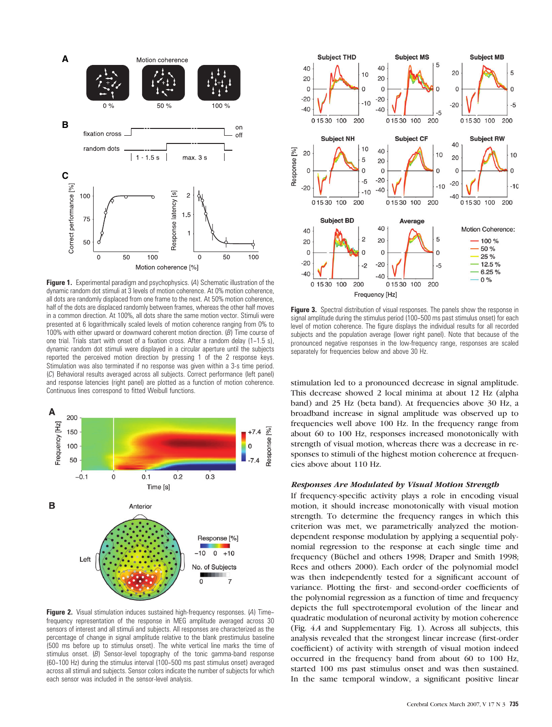

Figure 1. Experimental paradigm and psychophysics. (A) Schematic illustration of the dynamic random dot stimuli at 3 levels of motion coherence. At 0% motion coherence, all dots are randomly displaced from one frame to the next. At 50% motion coherence, half of the dots are displaced randomly between frames, whereas the other half moves in a common direction. At 100%, all dots share the same motion vector. Stimuli were presented at 6 logarithmically scaled levels of motion coherence ranging from 0% to 100% with either upward or downward coherent motion direction. (B) Time course of one trial. Trials start with onset of a fixation cross. After a random delay (1-1.5 s), dynamic random dot stimuli were displayed in a circular aperture until the subjects reported the perceived motion direction by pressing 1 of the 2 response keys. Stimulation was also terminated if no response was given within a 3-s time period. (C) Behavioral results averaged across all subjects. Correct performance (left panel) and response latencies (right panel) are plotted as a function of motion coherence. Continuous lines correspond to fitted Weibull functions.



Figure 2. Visual stimulation induces sustained high-frequency responses. (A) Timefrequency representation of the response in MEG amplitude averaged across 30 sensors of interest and all stimuli and subjects. All responses are characterized as the percentage of change in signal amplitude relative to the blank prestimulus baseline (500 ms before up to stimulus onset). The white vertical line marks the time of stimulus onset.  $(B)$  Sensor-level topography of the tonic gamma-band response (60--100 Hz) during the stimulus interval (100--500 ms past stimulus onset) averaged across all stimuli and subjects. Sensor colors indicate the number of subjects for which each sensor was included in the sensor-level analysis.



Figure 3. Spectral distribution of visual responses. The panels show the response in signal amplitude during the stimulus period (100-500 ms past stimulus onset) for each level of motion coherence. The figure displays the individual results for all recorded subjects and the population average (lower right panel). Note that because of the pronounced negative responses in the low-frequency range, responses are scaled separately for frequencies below and above 30 Hz.

stimulation led to a pronounced decrease in signal amplitude. This decrease showed 2 local minima at about 12 Hz (alpha band) and 25 Hz (beta band). At frequencies above 30 Hz, a broadband increase in signal amplitude was observed up to frequencies well above 100 Hz. In the frequency range from about 60 to 100 Hz, responses increased monotonically with strength of visual motion, whereas there was a decrease in responses to stimuli of the highest motion coherence at frequencies above about 110 Hz.

# Responses Are Modulated by Visual Motion Strength

If frequency-specific activity plays a role in encoding visual motion, it should increase monotonically with visual motion strength. To determine the frequency ranges in which this criterion was met, we parametrically analyzed the motiondependent response modulation by applying a sequential polynomial regression to the response at each single time and frequency (Büchel and others 1998; Draper and Smith 1998; Rees and others 2000). Each order of the polynomial model was then independently tested for a significant account of variance. Plotting the first- and second-order coefficients of the polynomial regression as a function of time and frequency depicts the full spectrotemporal evolution of the linear and quadratic modulation of neuronal activity by motion coherence (Fig. 4A and Supplementary Fig. 1). Across all subjects, this analysis revealed that the strongest linear increase (first-order coefficient) of activity with strength of visual motion indeed occurred in the frequency band from about 60 to 100 Hz, started 100 ms past stimulus onset and was then sustained. In the same temporal window, a significant positive linear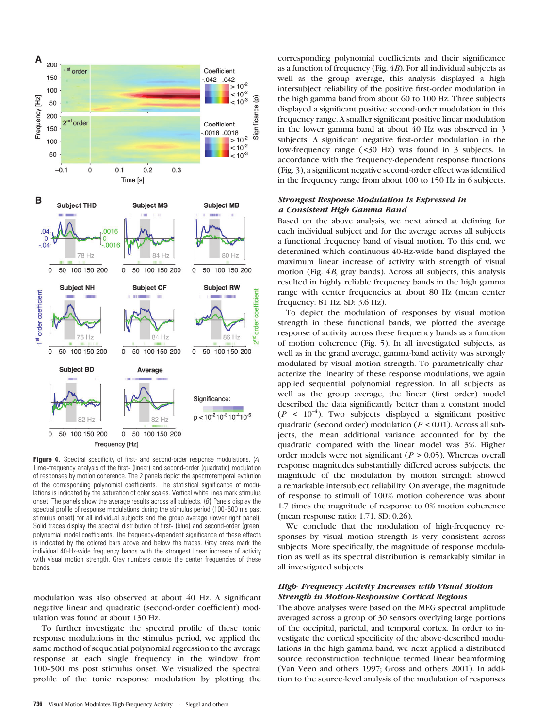

Figure 4. Spectral specificity of first- and second-order response modulations. (A) Time--frequency analysis of the first- (linear) and second-order (quadratic) modulation of responses by motion coherence. The 2 panels depict the spectrotemporal evolution of the corresponding polynomial coefficients. The statistical significance of modulations is indicated by the saturation of color scales. Vertical white lines mark stimulus onset. The panels show the average results across all subjects.  $(B)$  Panels display the spectral profile of response modulations during the stimulus period (100-500 ms past stimulus onset) for all individual subjects and the group average (lower right panel). Solid traces display the spectral distribution of first- (blue) and second-order (green) polynomial model coefficients. The frequency-dependent significance of these effects is indicated by the colored bars above and below the traces. Gray areas mark the individual 40-Hz-wide frequency bands with the strongest linear increase of activity with visual motion strength. Gray numbers denote the center frequencies of these bands.

modulation was also observed at about 40 Hz. A significant negative linear and quadratic (second-order coefficient) modulation was found at about 130 Hz.

To further investigate the spectral profile of these tonic response modulations in the stimulus period, we applied the same method of sequential polynomial regression to the average response at each single frequency in the window from 100-500 ms post stimulus onset. We visualized the spectral profile of the tonic response modulation by plotting the corresponding polynomial coefficients and their significance as a function of frequency (Fig.  $4B$ ). For all individual subjects as well as the group average, this analysis displayed a high intersubject reliability of the positive first-order modulation in the high gamma band from about 60 to 100 Hz. Three subjects displayed a significant positive second-order modulation in this frequency range. A smaller significant positive linear modulation in the lower gamma band at about 40 Hz was observed in 3 subjects. A significant negative first-order modulation in the low-frequency range (<30 Hz) was found in 3 subjects. In accordance with the frequency-dependent response functions (Fig. 3), a significant negative second-order effect was identified in the frequency range from about 100 to 150 Hz in 6 subjects.

# Strongest Response Modulation Is Expressed in a Consistent High Gamma Band

Based on the above analysis, we next aimed at defining for each individual subject and for the average across all subjects a functional frequency band of visual motion. To this end, we determined which continuous 40-Hz-wide band displayed the maximum linear increase of activity with strength of visual motion (Fig. 4B, gray bands). Across all subjects, this analysis resulted in highly reliable frequency bands in the high gamma range with center frequencies at about 80 Hz (mean center frequency: 81 Hz, SD: 3.6 Hz).

To depict the modulation of responses by visual motion strength in these functional bands, we plotted the average response of activity across these frequency bands as a function of motion coherence (Fig. 5). In all investigated subjects, as well as in the grand average, gamma-band activity was strongly modulated by visual motion strength. To parametrically characterize the linearity of these response modulations, we again applied sequential polynomial regression. In all subjects as well as the group average, the linear (first order) model described the data significantly better than a constant model  $(P < 10^{-4})$ . Two subjects displayed a significant positive quadratic (second order) modulation ( $P < 0.01$ ). Across all subjects, the mean additional variance accounted for by the quadratic compared with the linear model was 3%. Higher order models were not significant ( $P > 0.05$ ). Whereas overall response magnitudes substantially differed across subjects, the magnitude of the modulation by motion strength showed a remarkable intersubject reliability. On average, the magnitude of response to stimuli of 100% motion coherence was about 1.7 times the magnitude of response to 0% motion coherence (mean response ratio: 1.71, SD: 0.26).

We conclude that the modulation of high-frequency responses by visual motion strength is very consistent across subjects. More specifically, the magnitude of response modulation as well as its spectral distribution is remarkably similar in all investigated subjects.

# High- Frequency Activity Increases with Visual Motion Strength in Motion-Responsive Cortical Regions

The above analyses were based on the MEG spectral amplitude averaged across a group of 30 sensors overlying large portions of the occipital, parietal, and temporal cortex. In order to investigate the cortical specificity of the above-described modulations in the high gamma band, we next applied a distributed source reconstruction technique termed linear beamforming (Van Veen and others 1997; Gross and others 2001). In addition to the source-level analysis of the modulation of responses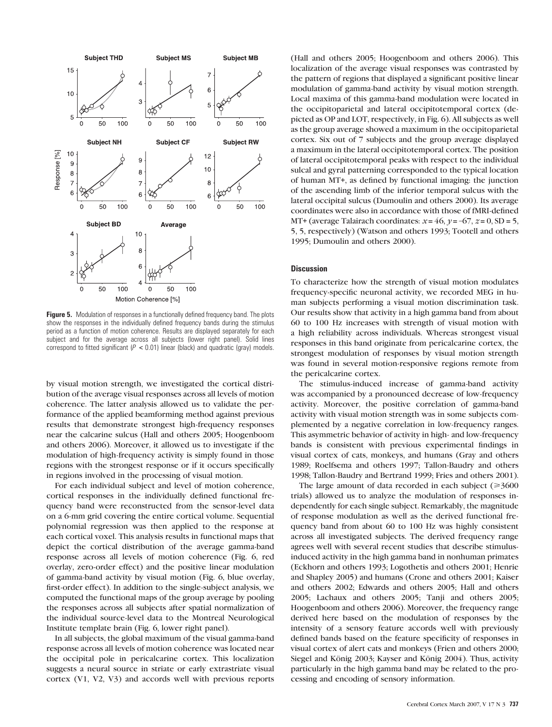

**Figure 5.** Modulation of responses in a functionally defined frequency band. The plots show the responses in the individually defined frequency bands during the stimulus period as a function of motion coherence. Results are displayed separately for each subject and for the average across all subjects (lower right panel). Solid lines correspond to fitted significant ( $P < 0.01$ ) linear (black) and quadratic (gray) models.

by visual motion strength, we investigated the cortical distribution of the average visual responses across all levels of motion coherence. The latter analysis allowed us to validate the performance of the applied beamforming method against previous results that demonstrate strongest high-frequency responses near the calcarine sulcus (Hall and others 2005; Hoogenboom and others 2006). Moreover, it allowed us to investigate if the modulation of high-frequency activity is simply found in those regions with the strongest response or if it occurs specifically in regions involved in the processing of visual motion.

For each individual subject and level of motion coherence, cortical responses in the individually defined functional frequency band were reconstructed from the sensor-level data on a 6-mm grid covering the entire cortical volume. Sequential polynomial regression was then applied to the response at each cortical voxel. This analysis results in functional maps that depict the cortical distribution of the average gamma-band response across all levels of motion coherence (Fig. 6, red overlay, zero-order effect) and the positive linear modulation of gamma-band activity by visual motion (Fig. 6, blue overlay, first-order effect). In addition to the single-subject analysis, we computed the functional maps of the group average by pooling the responses across all subjects after spatial normalization of the individual source-level data to the Montreal Neurological Institute template brain (Fig. 6, lower right panel).

In all subjects, the global maximum of the visual gamma-band response across all levels of motion coherence was located near the occipital pole in pericalcarine cortex. This localization suggests a neural source in striate or early extrastriate visual cortex (V1, V2, V3) and accords well with previous reports (Hall and others 2005; Hoogenboom and others 2006). This localization of the average visual responses was contrasted by the pattern of regions that displayed a significant positive linear modulation of gamma-band activity by visual motion strength. Local maxima of this gamma-band modulation were located in the occipitoparietal and lateral occipitotemporal cortex (depicted as OP and LOT, respectively, in Fig. 6). All subjects as well as the group average showed a maximum in the occipitoparietal cortex. Six out of 7 subjects and the group average displayed a maximum in the lateral occipitotemporal cortex. The position of lateral occipitotemporal peaks with respect to the individual sulcal and gyral patterning corresponded to the typical location of human MT+, as defined by functional imaging: the junction of the ascending limb of the inferior temporal sulcus with the lateral occipital sulcus (Dumoulin and others 2000). Its average coordinates were also in accordance with those of fMRI-defined MT+ (average Talairach coordinates:  $x = 46$ ,  $y = -67$ ,  $z = 0$ , SD = 5, 5, 5, respectively) (Watson and others 1993; Tootell and others 1995; Dumoulin and others 2000).

#### **Discussion**

To characterize how the strength of visual motion modulates frequency-specific neuronal activity, we recorded MEG in human subjects performing a visual motion discrimination task. Our results show that activity in a high gamma band from about 60 to 100 Hz increases with strength of visual motion with a high reliability across individuals. Whereas strongest visual responses in this band originate from pericalcarine cortex, the strongest modulation of responses by visual motion strength was found in several motion-responsive regions remote from the pericalcarine cortex.

The stimulus-induced increase of gamma-band activity was accompanied by a pronounced decrease of low-frequency activity. Moreover, the positive correlation of gamma-band activity with visual motion strength was in some subjects complemented by a negative correlation in low-frequency ranges. This asymmetric behavior of activity in high- and low-frequency bands is consistent with previous experimental findings in visual cortex of cats, monkeys, and humans (Gray and others 1989; Roelfsema and others 1997; Tallon-Baudry and others 1998; Tallon-Baudry and Bertrand 1999; Fries and others 2001).

The large amount of data recorded in each subject ( $\geq 3600$ ) trials) allowed us to analyze the modulation of responses independently for each single subject. Remarkably, the magnitude of response modulation as well as the derived functional frequency band from about 60 to 100 Hz was highly consistent across all investigated subjects. The derived frequency range agrees well with several recent studies that describe stimulusinduced activity in the high gamma band in nonhuman primates (Eckhorn and others 1993; Logothetis and others 2001; Henrie and Shapley 2005) and humans (Crone and others 2001; Kaiser and others 2002; Edwards and others 2005; Hall and others 2005; Lachaux and others 2005; Tanji and others 2005; Hoogenboom and others 2006). Moreover, the frequency range derived here based on the modulation of responses by the intensity of a sensory feature accords well with previously defined bands based on the feature specificity of responses in visual cortex of alert cats and monkeys (Frien and others 2000; Siegel and König 2003; Kayser and König 2004). Thus, activity particularly in the high gamma band may be related to the processing and encoding of sensory information.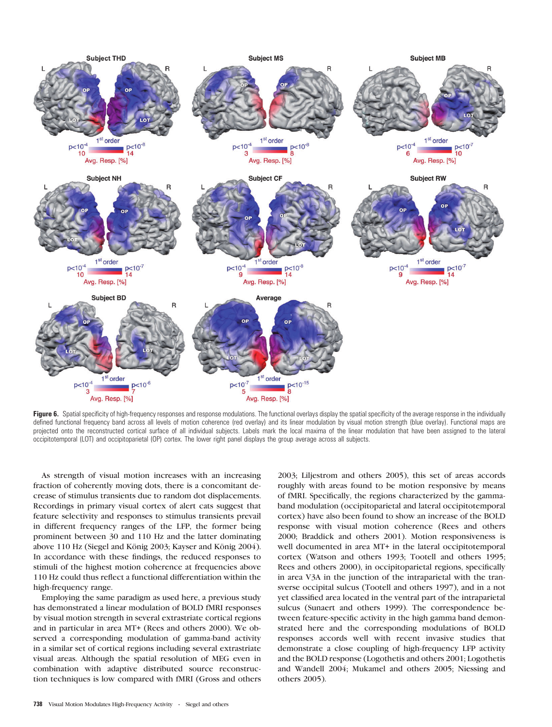

Figure 6. Spatial specificity of high-frequency responses and response modulations. The functional overlays display the spatial specificity of the average response in the individually defined functional frequency band across all levels of motion coherence (red overlay) and its linear modulation by visual motion strength (blue overlay). Functional maps are projected onto the reconstructed cortical surface of all individual subjects. Labels mark the local maxima of the linear modulation that have been assigned to the lateral occipitotemporal (LOT) and occipitoparietal (OP) cortex. The lower right panel displays the group average across all subjects.

As strength of visual motion increases with an increasing fraction of coherently moving dots, there is a concomitant decrease of stimulus transients due to random dot displacements. Recordings in primary visual cortex of alert cats suggest that feature selectivity and responses to stimulus transients prevail in different frequency ranges of the LFP, the former being prominent between 30 and 110 Hz and the latter dominating above 110 Hz (Siegel and König 2003; Kayser and König 2004). In accordance with these findings, the reduced responses to stimuli of the highest motion coherence at frequencies above 110 Hz could thus reflect a functional differentiation within the high-frequency range.

Employing the same paradigm as used here, a previous study has demonstrated a linear modulation of BOLD fMRI responses by visual motion strength in several extrastriate cortical regions and in particular in area MT+ (Rees and others 2000). We observed a corresponding modulation of gamma-band activity in a similar set of cortical regions including several extrastriate visual areas. Although the spatial resolution of MEG even in combination with adaptive distributed source reconstruction techniques is low compared with fMRI (Gross and others

2003; Liljestrom and others 2005), this set of areas accords roughly with areas found to be motion responsive by means of fMRI. Specifically, the regions characterized by the gammaband modulation (occipitoparietal and lateral occipitotemporal cortex) have also been found to show an increase of the BOLD response with visual motion coherence (Rees and others 2000; Braddick and others 2001). Motion responsiveness is well documented in area MT+ in the lateral occipitotemporal cortex (Watson and others 1993; Tootell and others 1995; Rees and others 2000), in occipitoparietal regions, specifically in area V3A in the junction of the intraparietal with the transverse occipital sulcus (Tootell and others 1997), and in a not yet classified area located in the ventral part of the intraparietal sulcus (Sunaert and others 1999). The correspondence between feature-specific activity in the high gamma band demonstrated here and the corresponding modulations of BOLD responses accords well with recent invasive studies that demonstrate a close coupling of high-frequency LFP activity and the BOLD response (Logothetis and others 2001; Logothetis and Wandell 2004; Mukamel and others 2005; Niessing and others 2005).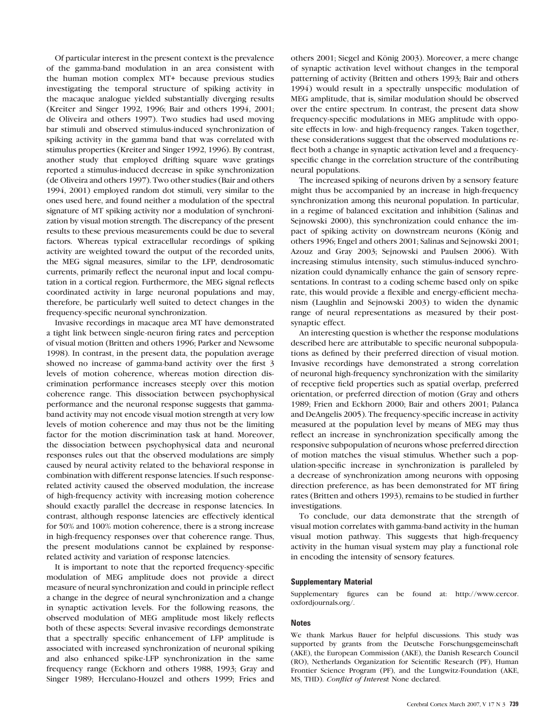Of particular interest in the present context is the prevalence of the gamma-band modulation in an area consistent with the human motion complex MT+ because previous studies investigating the temporal structure of spiking activity in the macaque analogue yielded substantially diverging results (Kreiter and Singer 1992, 1996; Bair and others 1994, 2001; de Oliveira and others 1997). Two studies had used moving bar stimuli and observed stimulus-induced synchronization of spiking activity in the gamma band that was correlated with stimulus properties (Kreiter and Singer 1992, 1996). By contrast, another study that employed drifting square wave gratings reported a stimulus-induced decrease in spike synchronization (de Oliveira and others 1997). Two other studies (Bair and others 1994, 2001) employed random dot stimuli, very similar to the ones used here, and found neither a modulation of the spectral signature of MT spiking activity nor a modulation of synchronization by visual motion strength. The discrepancy of the present results to these previous measurements could be due to several factors. Whereas typical extracellular recordings of spiking activity are weighted toward the output of the recorded units, the MEG signal measures, similar to the LFP, dendrosomatic currents, primarily reflect the neuronal input and local computation in a cortical region. Furthermore, the MEG signal reflects coordinated activity in large neuronal populations and may, therefore, be particularly well suited to detect changes in the frequency-specific neuronal synchronization.

Invasive recordings in macaque area MT have demonstrated a tight link between single-neuron firing rates and perception of visual motion (Britten and others 1996; Parker and Newsome 1998). In contrast, in the present data, the population average showed no increase of gamma-band activity over the first 3 levels of motion coherence, whereas motion direction discrimination performance increases steeply over this motion coherence range. This dissociation between psychophysical performance and the neuronal response suggests that gammaband activity may not encode visual motion strength at very low levels of motion coherence and may thus not be the limiting factor for the motion discrimination task at hand. Moreover, the dissociation between psychophysical data and neuronal responses rules out that the observed modulations are simply caused by neural activity related to the behavioral response in combination with different response latencies. If such responserelated activity caused the observed modulation, the increase of high-frequency activity with increasing motion coherence should exactly parallel the decrease in response latencies. In contrast, although response latencies are effectively identical for 50% and 100% motion coherence, there is a strong increase in high-frequency responses over that coherence range. Thus, the present modulations cannot be explained by responserelated activity and variation of response latencies.

It is important to note that the reported frequency-specific modulation of MEG amplitude does not provide a direct measure of neural synchronization and could in principle reflect a change in the degree of neural synchronization and a change in synaptic activation levels. For the following reasons, the observed modulation of MEG amplitude most likely reflects both of these aspects: Several invasive recordings demonstrate that a spectrally specific enhancement of LFP amplitude is associated with increased synchronization of neuronal spiking and also enhanced spike-LFP synchronization in the same frequency range (Eckhorn and others 1988, 1993; Gray and Singer 1989; Herculano-Houzel and others 1999; Fries and

others 2001; Siegel and König 2003). Moreover, a mere change of synaptic activation level without changes in the temporal patterning of activity (Britten and others 1993; Bair and others 1994) would result in a spectrally unspecific modulation of MEG amplitude, that is, similar modulation should be observed over the entire spectrum. In contrast, the present data show frequency-specific modulations in MEG amplitude with opposite effects in low- and high-frequency ranges. Taken together, these considerations suggest that the observed modulations reflect both a change in synaptic activation level and a frequencyspecific change in the correlation structure of the contributing neural populations.

The increased spiking of neurons driven by a sensory feature might thus be accompanied by an increase in high-frequency synchronization among this neuronal population. In particular, in a regime of balanced excitation and inhibition (Salinas and Sejnowski 2000), this synchronization could enhance the impact of spiking activity on downstream neurons (König and others 1996; Engel and others 2001; Salinas and Sejnowski 2001; Azouz and Gray 2003; Sejnowski and Paulsen 2006). With increasing stimulus intensity, such stimulus-induced synchronization could dynamically enhance the gain of sensory representations. In contrast to a coding scheme based only on spike rate, this would provide a flexible and energy-efficient mechanism (Laughlin and Sejnowski 2003) to widen the dynamic range of neural representations as measured by their postsynaptic effect.

An interesting question is whether the response modulations described here are attributable to specific neuronal subpopulations as defined by their preferred direction of visual motion. Invasive recordings have demonstrated a strong correlation of neuronal high-frequency synchronization with the similarity of receptive field properties such as spatial overlap, preferred orientation, or preferred direction of motion (Gray and others 1989; Frien and Eckhorn 2000; Bair and others 2001; Palanca and DeAngelis 2005). The frequency-specific increase in activity measured at the population level by means of MEG may thus reflect an increase in synchronization specifically among the responsive subpopulation of neurons whose preferred direction of motion matches the visual stimulus. Whether such a population-specific increase in synchronization is paralleled by a decrease of synchronization among neurons with opposing direction preference, as has been demonstrated for MT firing rates (Britten and others 1993), remains to be studied in further investigations.

To conclude, our data demonstrate that the strength of visual motion correlates with gamma-band activity in the human visual motion pathway. This suggests that high-frequency activity in the human visual system may play a functional role in encoding the intensity of sensory features.

## Supplementary Material

Supplementary figures can be found at: [http://www.cercor.](http://www.cercor.oxfordjournals.org/) [oxfordjournals.org/.](http://www.cercor.oxfordjournals.org/)

### Notes

We thank Markus Bauer for helpful discussions. This study was supported by grants from the Deutsche Forschungsgemeinschaft (AKE), the European Commission (AKE), the Danish Research Council (RO), Netherlands Organization for Scientific Research (PF), Human Frontier Science Program (PF), and the Lungwitz-Foundation (AKE, MS, THD). Conflict of Interest: None declared.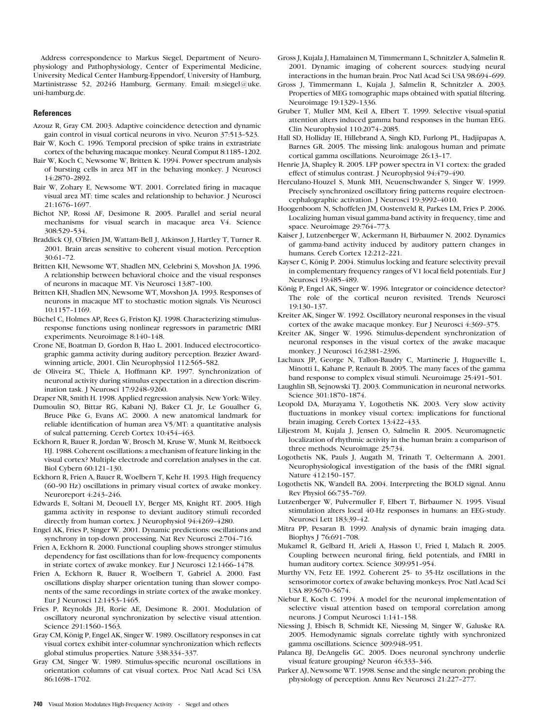Address correspondence to Markus Siegel, Department of Neurophysiology and Pathophysiology, Center of Experimental Medicine, University Medical Center Hamburg-Eppendorf, University of Hamburg, Martinistrasse 52, 20246 Hamburg, Germany. Email: m.siegel@uke. uni-hamburg.de.

### **References**

- Azouz R, Gray CM. 2003. Adaptive coincidence detection and dynamic gain control in visual cortical neurons in vivo. Neuron 37:513-523.
- Bair W, Koch C. 1996. Temporal precision of spike trains in extrastriate cortex of the behaving macaque monkey. Neural Comput 8:1185-1202.
- Bair W, Koch C, Newsome W, Britten K. 1994. Power spectrum analysis of bursting cells in area MT in the behaving monkey. J Neurosci 14:2870-2892.
- Bair W, Zohary E, Newsome WT. 2001. Correlated firing in macaque visual area MT: time scales and relationship to behavior. J Neurosci 21:1676--1697.
- Bichot NP, Rossi AF, Desimone R. 2005. Parallel and serial neural mechanisms for visual search in macaque area V4. Science 308.529-534
- Braddick OJ, O'Brien JM, Wattam-Bell J, Atkinson J, Hartley T, Turner R. 2001. Brain areas sensitive to coherent visual motion. Perception 30:61--72.
- Britten KH, Newsome WT, Shadlen MN, Celebrini S, Movshon JA. 1996. A relationship between behavioral choice and the visual responses of neurons in macaque MT. Vis Neurosci 13:87-100.
- Britten KH, Shadlen MN, Newsome WT, Movshon JA. 1993. Responses of neurons in macaque MT to stochastic motion signals. Vis Neurosci 10:1157--1169.
- Büchel C, Holmes AP, Rees G, Friston KJ. 1998. Characterizing stimulusresponse functions using nonlinear regressors in parametric fMRI experiments. Neuroimage 8:140-148.
- Crone NE, Boatman D, Gordon B, Hao L. 2001. Induced electrocorticographic gamma activity during auditory perception. Brazier Awardwinning article, 2001. Clin Neurophysiol 112:565-582.
- de Oliveira SC, Thiele A, Hoffmann KP. 1997. Synchronization of neuronal activity during stimulus expectation in a direction discrimination task. J Neurosci 17:9248-9260.
- Draper NR, Smith H. 1998. Applied regression analysis. New York: Wiley.
- Dumoulin SO, Bittar RG, Kabani NJ, Baker CL Jr, Le Goualher G, Bruce Pike G, Evans AC. 2000. A new anatomical landmark for reliable identification of human area V5/MT: a quantitative analysis of sulcal patterning. Cereb Cortex 10:454-463.
- Eckhorn R, Bauer R, Jordan W, Brosch M, Kruse W, Munk M, Reitboeck HJ. 1988. Coherent oscillations: a mechanism of feature linking in the visual cortex? Multiple electrode and correlation analyses in the cat. Biol Cybern 60:121-130.
- Eckhorn R, Frien A, Bauer R, Woelbern T, Kehr H. 1993. High frequency (60-90 Hz) oscillations in primary visual cortex of awake monkey. Neuroreport 4:243-246.
- Edwards E, Soltani M, Deouell LY, Berger MS, Knight RT. 2005. High gamma activity in response to deviant auditory stimuli recorded directly from human cortex. J Neurophysiol 94:4269-4280.
- Engel AK, Fries P, Singer W. 2001. Dynamic predictions: oscillations and synchrony in top-down processing. Nat Rev Neurosci 2:704-716.
- Frien A, Eckhorn R. 2000. Functional coupling shows stronger stimulus dependency for fast oscillations than for low-frequency components in striate cortex of awake monkey. Eur J Neurosci 12:1466-1478.
- Frien A, Eckhorn R, Bauer R, Woelbern T, Gabriel A. 2000. Fast oscillations display sharper orientation tuning than slower components of the same recordings in striate cortex of the awake monkey. Eur J Neurosci 12:1453-1465.
- Fries P, Reynolds JH, Rorie AE, Desimone R. 2001. Modulation of oscillatory neuronal synchronization by selective visual attention. Science 291:1560-1563.
- Gray CM, König P, Engel AK, Singer W. 1989. Oscillatory responses in cat visual cortex exhibit inter-columnar synchronization which reflects global stimulus properties. Nature 338:334-337.
- Gray CM, Singer W. 1989. Stimulus-specific neuronal oscillations in orientation columns of cat visual cortex. Proc Natl Acad Sci USA 86:1698-1702.
- Gross J, Kujala J, Hamalainen M, Timmermann L, Schnitzler A, Salmelin R. 2001. Dynamic imaging of coherent sources: studying neural interactions in the human brain. Proc Natl Acad Sci USA 98:694-699.
- Gross J, Timmermann L, Kujala J, Salmelin R, Schnitzler A. 2003. Properties of MEG tomographic maps obtained with spatial filtering. Neuroimage 19:1329-1336.
- Gruber T, Muller MM, Keil A, Elbert T. 1999. Selective visual-spatial attention alters induced gamma band responses in the human EEG. Clin Neurophysiol 110:2074-2085.
- Hall SD, Holliday IE, Hillebrand A, Singh KD, Furlong PL, Hadjipapas A, Barnes GR. 2005. The missing link: analogous human and primate cortical gamma oscillations. Neuroimage 26:13-17.
- Henrie JA, Shapley R. 2005. LFP power spectra in V1 cortex: the graded effect of stimulus contrast. J Neurophysiol 94:479-490.
- Herculano-Houzel S, Munk MH, Neuenschwander S, Singer W. 1999. Precisely synchronized oscillatory firing patterns require electroencephalographic activation. J Neurosci 19:3992-4010.
- Hoogenboom N, Schoffelen JM, Oostenveld R, Parkes LM, Fries P. 2006. Localizing human visual gamma-band activity in frequency, time and space. Neuroimage 29:764-773.
- Kaiser J, Lutzenberger W, Ackermann H, Birbaumer N. 2002. Dynamics of gamma-band activity induced by auditory pattern changes in humans. Cereb Cortex 12:212-221.
- Kayser C, König P. 2004. Stimulus locking and feature selectivity prevail in complementary frequency ranges of V1 local field potentials. Eur J Neurosci 19:485-489.
- König P, Engel AK, Singer W. 1996. Integrator or coincidence detector? The role of the cortical neuron revisited. Trends Neurosci 19:130-137.
- Kreiter AK, Singer W. 1992. Oscillatory neuronal responses in the visual cortex of the awake macaque monkey. Eur J Neurosci 4:369-375.
- Kreiter AK, Singer W. 1996. Stimulus-dependent synchronization of neuronal responses in the visual cortex of the awake macaque monkey. J Neurosci 16:2381-2396.
- Lachaux JP, George N, Tallon-Baudry C, Martinerie J, Hugueville L, Minotti L, Kahane P, Renault B. 2005. The many faces of the gamma band response to complex visual stimuli. Neuroimage 25:491-501.
- Laughlin SB, Sejnowski TJ. 2003. Communication in neuronal networks. Science 301:1870-1874.
- Leopold DA, Murayama Y, Logothetis NK. 2003. Very slow activity fluctuations in monkey visual cortex: implications for functional brain imaging. Cereb Cortex 13:422-433.
- Liljestrom M, Kujala J, Jensen O, Salmelin R. 2005. Neuromagnetic localization of rhythmic activity in the human brain: a comparison of three methods. Neuroimage 25:734.
- Logothetis NK, Pauls J, Augath M, Trinath T, Oeltermann A. 2001. Neurophysiological investigation of the basis of the fMRI signal. Nature 412:150-157.
- Logothetis NK, Wandell BA. 2004. Interpreting the BOLD signal. Annu Rev Physiol 66:735-769.
- Lutzenberger W, Pulvermuller F, Elbert T, Birbaumer N. 1995. Visual stimulation alters local 40-Hz responses in humans: an EEG-study. Neurosci Lett 183:39-42.
- Mitra PP, Pesaran B. 1999. Analysis of dynamic brain imaging data. Biophys J 76:691-708.
- Mukamel R, Gelbard H, Arieli A, Hasson U, Fried I, Malach R. 2005. Coupling between neuronal firing, field potentials, and FMRI in human auditory cortex. Science 309:951-954.
- Murthy VN, Fetz EE. 1992. Coherent 25- to 35-Hz oscillations in the sensorimotor cortex of awake behaving monkeys. Proc Natl Acad Sci USA 89:5670-5674.
- Niebur E, Koch C. 1994. A model for the neuronal implementation of selective visual attention based on temporal correlation among neurons. J Comput Neurosci 1:141-158.
- Niessing J, Ebisch B, Schmidt KE, Niessing M, Singer W, Galuske RA. 2005. Hemodynamic signals correlate tightly with synchronized gamma oscillations. Science 309:948-951.
- Palanca BJ, DeAngelis GC. 2005. Does neuronal synchrony underlie visual feature grouping? Neuron 46:333-346.
- Parker AJ, Newsome WT. 1998. Sense and the single neuron: probing the physiology of perception. Annu Rev Neurosci 21:227-277.